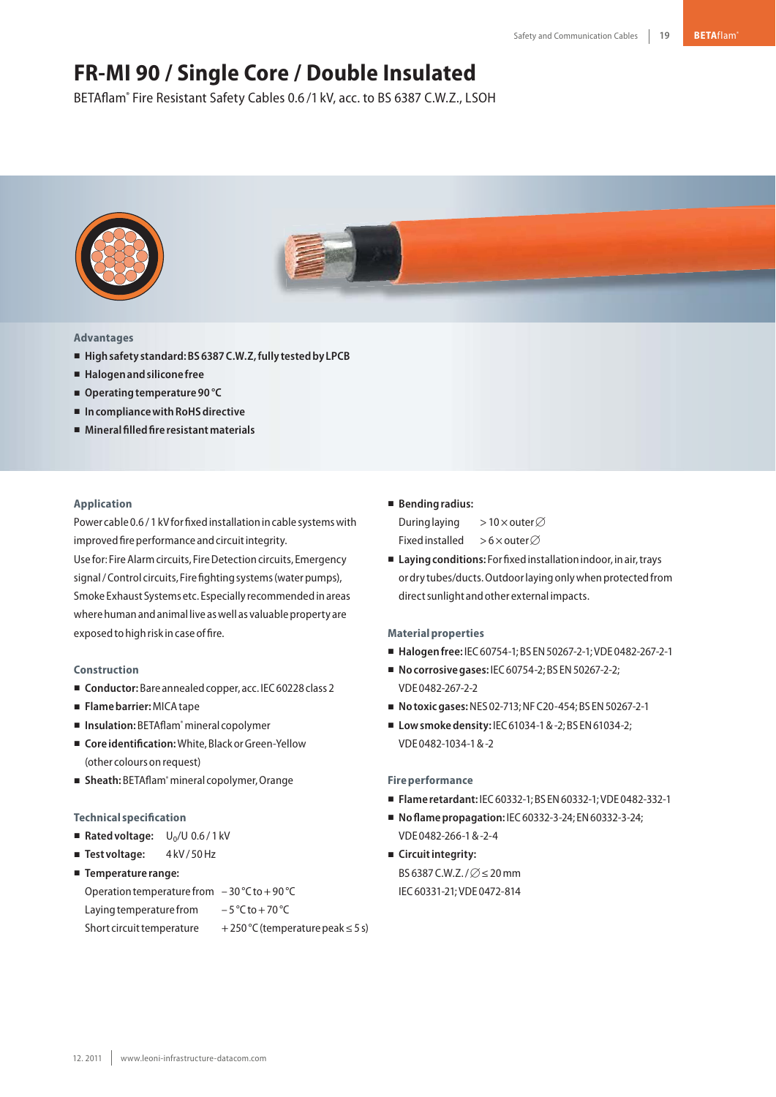# **FR-MI 90 / Single Core / Double Insulated**

BETAflam® Fire Resistant Safety Cables 0.6 /1 kV, acc. to BS 6387 C.W.Z., LSOH



## **Advantages**

- **Highsafety standard:BS6387C.W.Z,fully testedby LPCB**
- **Halogenandsilicone free**
- Operating temperature 90 °C
- In compliance with RoHS directive
- **Mineralfilledfire resistantmaterials**

### **Application**

Power cable 0.6 / 1 kV for fixed installation in cable systems with improved fire performance and circuit integrity.

Use for: Fire Alarm circuits, Fire Detection circuits, Emergency signal / Control circuits, Fire fighting systems (water pumps), Smoke Exhaust Systems etc. Especially recommendedinareas where human and animal live as well as valuable property are exposed to high risk in case of fire.

#### **Construction**

- Conductor: Bare annealed copper, acc. IEC 60228 class 2
- **Flamebarrier:**MICAtape
- Insulation: BETAflam® mineral copolymer
- Core identification: White, Black or Green-Yellow (other colours onrequest)
- Sheath: BETAflam<sup>®</sup> mineral copolymer, Orange

#### **Technical specification**

- Rated voltage: U<sub>0</sub>/U 0.6/1 kV
- Test voltage: 4kV/50 Hz
- **Temperature range:**
- Operation temperature from  $-30$  °C to +90 °C

Laying temperature from  $-5^{\circ}$ C to + 70 °C

Short circuit temperature  $+250 \degree C$  (temperature peak  $\leq 5$  s)

# - **Bendingradius:**

During laying > 10  $\times$  outer  $\varnothing$ Fixed installed >6 $\times$ outer $\varnothing$ 

■ Laying conditions: For fixed installation indoor, in air, trays or dry tubes/ducts. Outdoor laying only when protected from direct sunlight and other external impacts.

#### **Materialproperties**

- **Halogenfree:** IEC60754-1;BS EN50267-2-1;VDE 0482-267-2-1
- **No corrosive gases: IEC 60754-2; BS EN 50267-2-2;** VDE 0482-267-2-2
- **Notoxicgases:**NES 02-713;NFC20-454;BS EN50267-2-1
- Low smoke density: IEC 61034-1 & -2; BS EN 61034-2; VDE 0482-1034-1&-2

#### **Fire performance**

- **Flame retardant:** IEC60332-1;BS EN60332-1;VDE 0482-332-1
- **No flame propagation: IEC 60332-3-24; EN 60332-3-24;** VDE 0482-266-1&-2-4
- **E** Circuit integrity: BS 6387 C.W.Z./ $\varnothing$   $\leq$  20 mm IEC60331-21;VDE 0472-814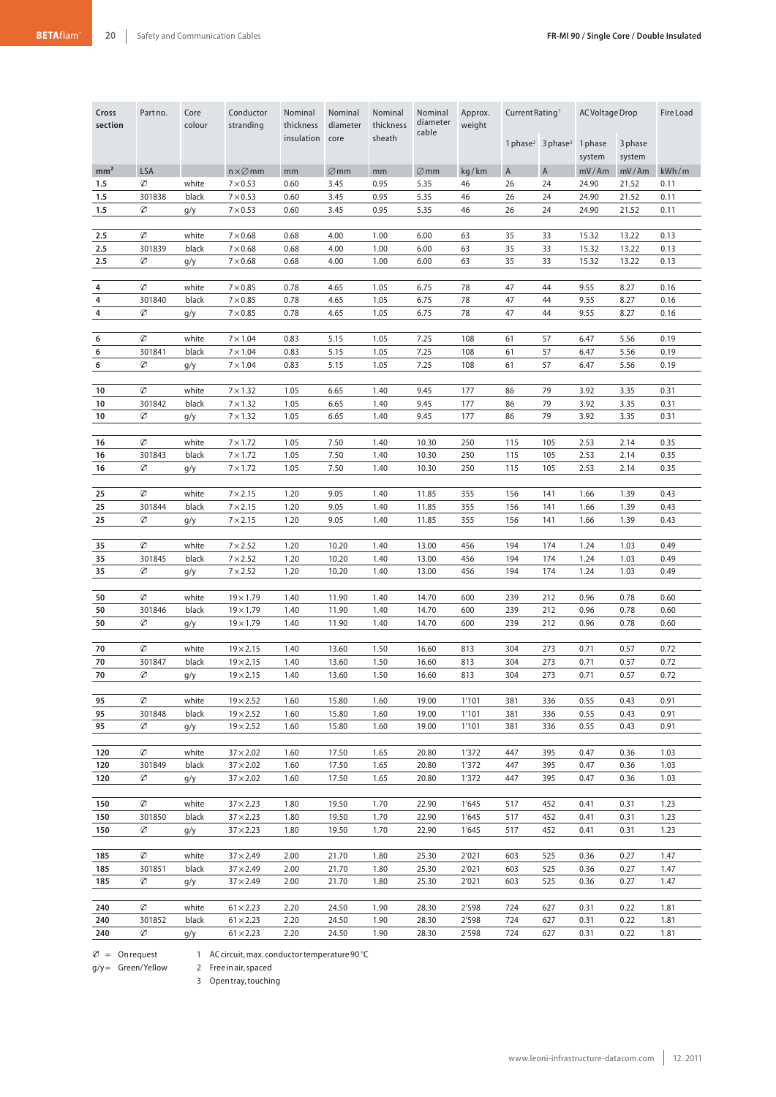| Cross<br>section | Partno.     | Core<br>colour | Conductor<br>stranding               | Nominal<br>thickness | Nominal<br>diameter | Nominal<br>thickness | Nominal<br>diameter<br>cable | Approx.<br>weight | Current Rating <sup>1</sup> |                                           | AC Voltage Drop   |                   | <b>Fire Load</b> |
|------------------|-------------|----------------|--------------------------------------|----------------------|---------------------|----------------------|------------------------------|-------------------|-----------------------------|-------------------------------------------|-------------------|-------------------|------------------|
|                  |             |                |                                      | insulation           | core                | sheath               |                              |                   |                             | 1 phase <sup>2</sup> 3 phase <sup>3</sup> | 1 phase<br>system | 3 phase<br>system |                  |
| mm <sup>2</sup>  | <b>LSA</b>  |                | $n \times \varnothing$ mm            | mm                   | $\varnothing$ mm    | mm                   | $\varnothing$ mm             | kg/km             | $\overline{A}$              | $\mathsf{A}$                              | mV/Am             | mV/Am             | kWh/m            |
| 1.5              | Ø           | white          | $7 \times 0.53$                      | 0.60                 | 3.45                | 0.95                 | 5.35                         | 46                | 26                          | 24                                        | 24.90             | 21.52             | 0.11             |
| 1.5              | 301838      | black          | $7 \times 0.53$                      | 0.60                 | 3.45                | 0.95                 | 5.35                         | 46                | 26                          | 24                                        | 24.90             | 21.52             | 0.11             |
| 1.5              | Ø           | g/y            | $7 \times 0.53$                      | 0.60                 | 3.45                | 0.95                 | 5.35                         | 46                | 26                          | 24                                        | 24.90             | 21.52             | 0.11             |
|                  |             |                |                                      |                      |                     |                      |                              |                   |                             |                                           |                   |                   |                  |
| 2.5              | Ø           | white          | $7\times0.68$                        | 0.68                 | 4.00                | 1.00                 | 6.00                         | 63                | 35                          | 33                                        | 15.32             | 13.22             | 0.13             |
| 2.5              | 301839      | black          | $7\times0.68$                        | 0.68                 | 4.00                | 1.00                 | 6.00                         | 63                | 35                          | 33                                        | 15.32             | 13.22             | 0.13             |
| 2.5              | Ø           | g/y            | $7\times0.68$                        | 0.68                 | 4.00                | 1.00                 | 6.00                         | 63                | 35                          | 33                                        | 15.32             | 13.22             | 0.13             |
|                  |             |                |                                      |                      |                     |                      |                              |                   |                             |                                           |                   |                   |                  |
| 4                | Ø           | white          | $7 \times 0.85$                      | 0.78                 | 4.65                | 1.05                 | 6.75                         | 78                | 47                          | 44                                        | 9.55              | 8.27              | 0.16             |
| 4                | 301840      | black          | $7 \times 0.85$                      | 0.78                 | 4.65                | 1.05                 | 6.75                         | 78                | 47                          | 44                                        | 9.55              | 8.27              | 0.16             |
| 4                | Ø           | g/y            | $7 \times 0.85$                      | 0.78                 | 4.65                | 1.05                 | 6.75                         | 78                | 47                          | 44                                        | 9.55              | 8.27              | 0.16             |
| 6                | Ø           | white          | $7 \times 1.04$                      | 0.83                 | 5.15                | 1.05                 | 7.25                         | 108               | 61                          | 57                                        |                   | 5.56              | 0.19             |
|                  |             |                |                                      |                      |                     |                      |                              |                   |                             |                                           | 6.47              |                   |                  |
| 6<br>6           | 301841<br>Ø | black          | $7 \times 1.04$<br>$7 \times 1.04$   | 0.83<br>0.83         | 5.15<br>5.15        | 1.05<br>1.05         | 7.25<br>7.25                 | 108<br>108        | 61<br>61                    | 57<br>57                                  | 6.47<br>6.47      | 5.56<br>5.56      | 0.19<br>0.19     |
|                  |             | g/y            |                                      |                      |                     |                      |                              |                   |                             |                                           |                   |                   |                  |
| 10               | Ø           | white          | $7 \times 1.32$                      | 1.05                 | 6.65                | 1.40                 | 9.45                         | 177               | 86                          | 79                                        | 3.92              | 3.35              | 0.31             |
| 10               | 301842      | black          | $7 \times 1.32$                      | 1.05                 | 6.65                | 1.40                 | 9.45                         | 177               | 86                          | 79                                        | 3.92              | 3.35              | 0.31             |
| 10               | Ø           | g/y            | $7 \times 1.32$                      | 1.05                 | 6.65                | 1.40                 | 9.45                         | 177               | 86                          | 79                                        | 3.92              | 3.35              | 0.31             |
|                  |             |                |                                      |                      |                     |                      |                              |                   |                             |                                           |                   |                   |                  |
| 16               | Ø           | white          | $7 \times 1.72$                      | 1.05                 | 7.50                | 1.40                 | 10.30                        | 250               | 115                         | 105                                       | 2.53              | 2.14              | 0.35             |
| 16               | 301843      | black          | $7 \times 1.72$                      | 1.05                 | 7.50                | 1.40                 | 10.30                        | 250               | 115                         | 105                                       | 2.53              | 2.14              | 0.35             |
| 16               | Ø           | g/y            | $7 \times 1.72$                      | 1.05                 | 7.50                | 1.40                 | 10.30                        | 250               | 115                         | 105                                       | 2.53              | 2.14              | 0.35             |
|                  |             |                |                                      |                      |                     |                      |                              |                   |                             |                                           |                   |                   |                  |
| 25               | Ø           | white          | $7 \times 2.15$                      | 1.20                 | 9.05                | 1.40                 | 11.85                        | 355               | 156                         | 141                                       | 1.66              | 1.39              | 0.43             |
| 25               | 301844      | black          | $7 \times 2.15$                      | 1.20                 | 9.05                | 1.40                 | 11.85                        | 355               | 156                         | 141                                       | 1.66              | 1.39              | 0.43             |
| 25               | Ø           | g/y            | $7 \times 2.15$                      | 1.20                 | 9.05                | 1.40                 | 11.85                        | 355               | 156                         | 141                                       | 1.66              | 1.39              | 0.43             |
|                  |             |                |                                      |                      |                     |                      |                              |                   |                             |                                           |                   |                   |                  |
| 35               | Ø           | white          | $7 \times 2.52$                      | 1.20                 | 10.20               | 1.40                 | 13.00                        | 456               | 194                         | 174                                       | 1.24              | 1.03              | 0.49             |
| 35               | 301845      | black          | $7 \times 2.52$                      | 1.20                 | 10.20               | 1.40                 | 13.00                        | 456               | 194                         | 174                                       | 1.24              | 1.03              | 0.49             |
| 35               | Ø           | g/y            | $7 \times 2.52$                      | 1.20                 | 10.20               | 1.40                 | 13.00                        | 456               | 194                         | 174                                       | 1.24              | 1.03              | 0.49             |
|                  |             |                |                                      |                      |                     |                      |                              |                   |                             |                                           |                   |                   |                  |
| 50               | Ø           | white          | $19 \times 1.79$                     | 1.40                 | 11.90               | 1.40                 | 14.70                        | 600               | 239                         | 212                                       | 0.96              | 0.78              | 0.60             |
| 50<br>50         | 301846<br>Ø | black<br>g/y   | $19 \times 1.79$<br>$19 \times 1.79$ | 1.40<br>1.40         | 11.90<br>11.90      | 1.40<br>1.40         | 14.70<br>14.70               | 600<br>600        | 239<br>239                  | 212<br>212                                | 0.96<br>0.96      | 0.78<br>0.78      | 0.60<br>0.60     |
|                  |             |                |                                      |                      |                     |                      |                              |                   |                             |                                           |                   |                   |                  |
| 70               | Ø           | white          | $19 \times 2.15$                     | 1.40                 | 13.60               | 1.50                 | 16.60                        | 813               | 304                         | 273                                       | 0.71              | 0.57              | 0.72             |
| 70               | 301847      | black          | $19 \times 2.15$                     | 1.40                 | 13.60               | 1.50                 | 16.60                        | 813               | 304                         | 273                                       | 0.71              | 0.57              | 0.72             |
| 70               | Ø           | g/y            | $19 \times 2.15$                     | 1.40                 | 13.60               | 1.50                 | 16.60                        | 813               | 304                         | 273                                       | 0.71              | 0.57              | 0.72             |
|                  |             |                |                                      |                      |                     |                      |                              |                   |                             |                                           |                   |                   |                  |
| 95               | Ø           | white          | $19 \times 2.52$                     | 1.60                 | 15.80               | 1.60                 | 19.00                        | 1'101             | 381                         | 336                                       | 0.55              | 0.43              | 0.91             |
| 95               | 301848      | black          | $19 \times 2.52$                     | 1.60                 | 15.80               | 1.60                 | 19.00                        | 1'101             | 381                         | 336                                       | 0.55              | 0.43              | 0.91             |
| 95               | Ø           | g/y            | $19 \times 2.52$                     | 1.60                 | 15.80               | 1.60                 | 19.00                        | 1'101             | 381                         | 336                                       | 0.55              | 0.43              | 0.91             |
|                  |             |                |                                      |                      |                     |                      |                              |                   |                             |                                           |                   |                   |                  |
| 120              | Ø           | white          | $37 \times 2.02$                     | 1.60                 | 17.50               | 1.65                 | 20.80                        | 1'372             | 447                         | 395                                       | 0.47              | 0.36              | 1.03             |
| 120              | 301849      | black          | $37 \times 2.02$                     | 1.60                 | 17.50               | 1.65                 | 20.80                        | 1'372             | 447                         | 395                                       | 0.47              | 0.36              | 1.03             |
| 120              | Ø           | g/y            | $37 \times 2.02$                     | 1.60                 | 17.50               | 1.65                 | 20.80                        | 1'372             | 447                         | 395                                       | 0.47              | 0.36              | 1.03             |
|                  |             |                |                                      |                      |                     |                      |                              |                   |                             |                                           |                   |                   |                  |
| 150              | Ø           | white          | $37 \times 2.23$                     | 1.80                 | 19.50               | 1.70                 | 22.90                        | 1'645             | 517                         | 452                                       | 0.41              | 0.31              | 1.23             |
| 150              | 301850      | black          | $37 \times 2.23$                     | 1.80                 | 19.50               | 1.70                 | 22.90                        | 1'645             | 517                         | 452                                       | 0.41              | 0.31              | 1.23             |
| 150              | Ø           | g/y            | $37 \times 2.23$                     | 1.80                 | 19.50               | 1.70                 | 22.90                        | 1'645             | 517                         | 452                                       | 0.41              | 0.31              | 1.23             |
|                  |             |                |                                      |                      |                     |                      |                              |                   |                             |                                           |                   |                   |                  |
| 185<br>185       | Ø<br>301851 | white<br>black | $37 \times 2.49$<br>$37 \times 2.49$ | 2.00<br>2.00         | 21.70<br>21.70      | 1.80<br>1.80         | 25.30<br>25.30               | 2'021<br>2'021    | 603<br>603                  | 525<br>525                                | 0.36<br>0.36      | 0.27<br>0.27      | 1.47<br>1.47     |
| 185              | Ø           | g/y            | $37 \times 2.49$                     | 2.00                 | 21.70               | 1.80                 | 25.30                        | 2'021             | 603                         | 525                                       | 0.36              | 0.27              | 1.47             |
|                  |             |                |                                      |                      |                     |                      |                              |                   |                             |                                           |                   |                   |                  |
| 240              | Ø           | white          | $61 \times 2.23$                     | 2.20                 | 24.50               | 1.90                 | 28.30                        | 2'598             | 724                         | 627                                       | 0.31              | 0.22              | 1.81             |
| 240              | 301852      | black          | $61 \times 2.23$                     | 2.20                 | 24.50               | 1.90                 | 28.30                        | 2'598             | 724                         | 627                                       | 0.31              | 0.22              | 1.81             |
| 240              | Ø           | g/y            | $61 \times 2.23$                     | 2.20                 | 24.50               | 1.90                 | 28.30                        | 2'598             | 724                         | 627                                       | 0.31              | 0.22              | 1.81             |
|                  |             |                |                                      |                      |                     |                      |                              |                   |                             |                                           |                   |                   |                  |

 $\varnothing$  = Onrequest

1 ACcircuit,max. conductortemperature 90 °C

g/y= Green/Yellow

2 Free in air, spaced 3 Opentray,touching

www.leoni-infrastructure-datacom.com 12. 2011